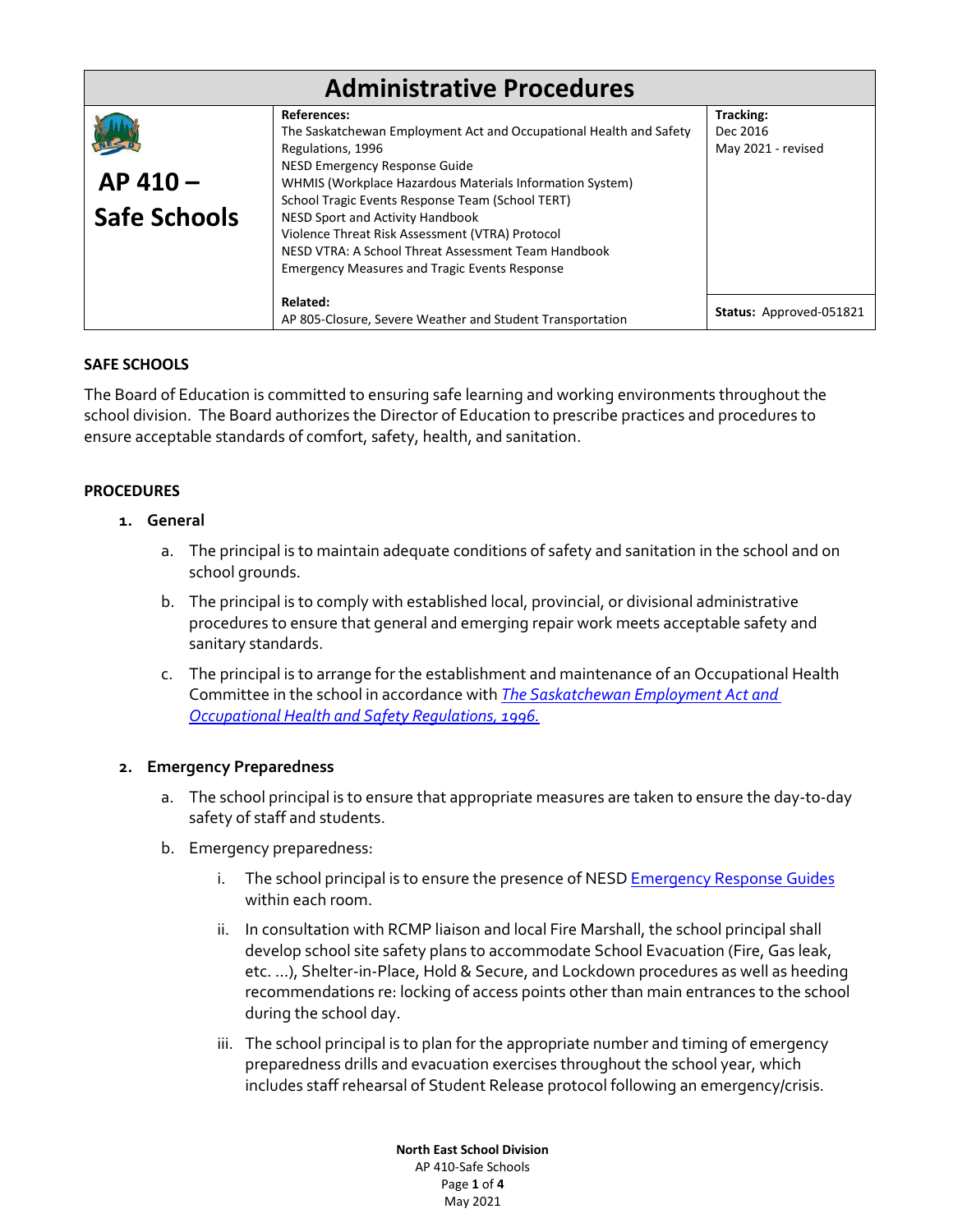| <b>Administrative Procedures</b> |                                                                                                                                                                                                                                                                                                                                                                                                                                                                      |                                             |
|----------------------------------|----------------------------------------------------------------------------------------------------------------------------------------------------------------------------------------------------------------------------------------------------------------------------------------------------------------------------------------------------------------------------------------------------------------------------------------------------------------------|---------------------------------------------|
| AP 410-<br><b>Safe Schools</b>   | <b>References:</b><br>The Saskatchewan Employment Act and Occupational Health and Safety<br>Regulations, 1996<br>NESD Emergency Response Guide<br>WHMIS (Workplace Hazardous Materials Information System)<br>School Tragic Events Response Team (School TERT)<br>NESD Sport and Activity Handbook<br>Violence Threat Risk Assessment (VTRA) Protocol<br>NESD VTRA: A School Threat Assessment Team Handbook<br><b>Emergency Measures and Tragic Events Response</b> | Tracking:<br>Dec 2016<br>May 2021 - revised |
|                                  | Related:<br>AP 805-Closure, Severe Weather and Student Transportation                                                                                                                                                                                                                                                                                                                                                                                                | Status: Approved-051821                     |

# **SAFE SCHOOLS**

The Board of Education is committed to ensuring safe learning and working environments throughout the school division. The Board authorizes the Director of Education to prescribe practices and procedures to ensure acceptable standards of comfort, safety, health, and sanitation.

# **PROCEDURES**

# **1. General**

- a. The principal is to maintain adequate conditions of safety and sanitation in the school and on school grounds.
- b. The principal is to comply with established local, provincial, or divisional administrative procedures to ensure that general and emerging repair work meets acceptable safety and sanitary standards.
- c. The principal is to arrange for the establishment and maintenance of an Occupational Health Committee in the school in accordance with *[The Saskatchewan Employment Act and](https://www.canlii.org/en/sk/laws/regu/rrs-c-o-1.1-reg-1/latest/rrs-c-o-1.1-reg-1.html)  [Occupational Health and Safety Regulations, 1996.](https://www.canlii.org/en/sk/laws/regu/rrs-c-o-1.1-reg-1/latest/rrs-c-o-1.1-reg-1.html)*

# **2. Emergency Preparedness**

- a. The school principal is to ensure that appropriate measures are taken to ensure the day-to-day safety of staff and students.
- b. Emergency preparedness:
	- i. The school principal is to ensure the presence of NESD **Emergency Response Guides** within each room.
	- ii. In consultation with RCMP liaison and local Fire Marshall, the school principal shall develop school site safety plans to accommodate School Evacuation (Fire, Gas leak, etc. …), Shelter-in-Place, Hold & Secure, and Lockdown procedures as well as heeding recommendations re: locking of access points other than main entrances to the school during the school day.
	- iii. The school principal is to plan for the appropriate number and timing of emergency preparedness drills and evacuation exercises throughout the school year, which includes staff rehearsal of Student Release protocol following an emergency/crisis.

**North East School Division** AP 410-Safe Schools Page **1** of **4** May 2021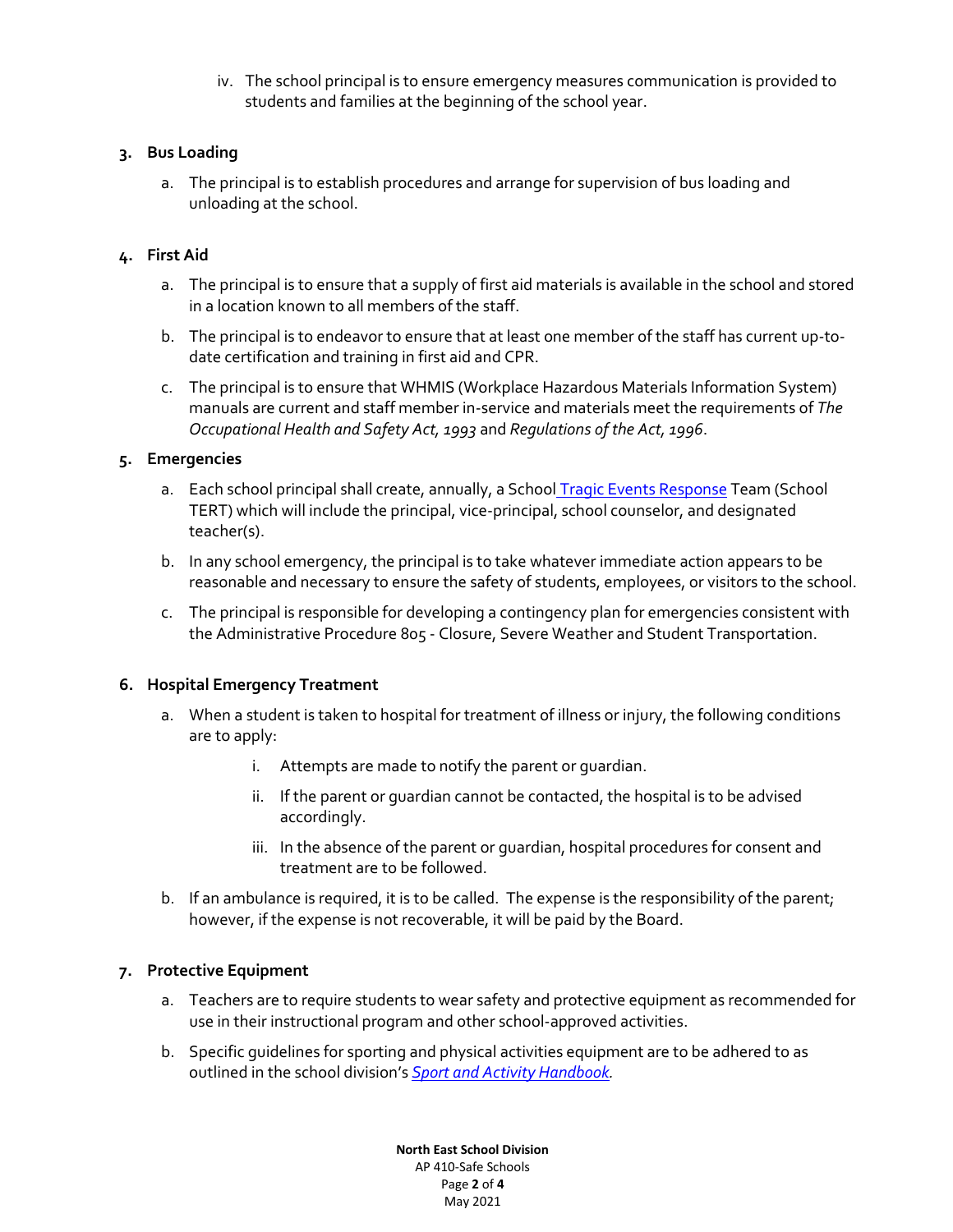iv. The school principal is to ensure emergency measures communication is provided to students and families at the beginning of the school year.

# **3. Bus Loading**

a. The principal is to establish procedures and arrange for supervision of bus loading and unloading at the school.

# **4. First Aid**

- a. The principal is to ensure that a supply of first aid materials is available in the school and stored in a location known to all members of the staff.
- b. The principal is to endeavor to ensure that at least one member of the staff has current up-todate certification and training in first aid and CPR.
- c. The principal is to ensure that WHMIS (Workplace Hazardous Materials Information System) manuals are current and staff member in-service and materials meet the requirements of *The Occupational Health and Safety Act, 1993* and *Regulations of the Act, 1996*.

# **5. Emergencies**

- a. Each school principal shall create, annually, a School [Tragic Events Response](https://nesdca.sharepoint.com/:w:/r/sites/NESDResources/NE/Handbooks%20_Guidelines_Procedures/TragicEventsEmergencyResponse_2021.docx?d=weaa10555d0aa4703a0d5370bdf81b3bb&csf=1&web=1&e=jPViAA) Team (School TERT) which will include the principal, vice-principal, school counselor, and designated teacher(s).
- b. In any school emergency, the principal is to take whatever immediate action appears to be reasonable and necessary to ensure the safety of students, employees, or visitors to the school.
- c. The principal is responsible for developing a contingency plan for emergencies consistent with the Administrative Procedure 805 - Closure, Severe Weather and Student Transportation.

# **6. Hospital Emergency Treatment**

- a. When a student is taken to hospital for treatment of illness or injury, the following conditions are to apply:
	- i. Attempts are made to notify the parent or guardian.
	- ii. If the parent or guardian cannot be contacted, the hospital is to be advised accordingly.
	- iii. In the absence of the parent or guardian, hospital procedures for consent and treatment are to be followed.
- b. If an ambulance is required, it is to be called. The expense is the responsibility of the parent; however, if the expense is not recoverable, it will be paid by the Board.

# **7. Protective Equipment**

- a. Teachers are to require students to wear safety and protective equipment as recommended for use in their instructional program and other school-approved activities.
- b. Specific guidelines for sporting and physical activities equipment are to be adhered to as outlined in the school division's *[Sport and Activity Handbook.](https://nesdca.sharepoint.com/:w:/r/sites/NESDResources/NE/Handbooks%20_Guidelines_Procedures/Sport%20Activity%20Handbook_revised%20March%2017,%202010.doc?d=w7f4ffe6dce644564bdb07a4d7482513d&csf=1&web=1&e=5KuOVA)*

**North East School Division** AP 410-Safe Schools Page **2** of **4** May 2021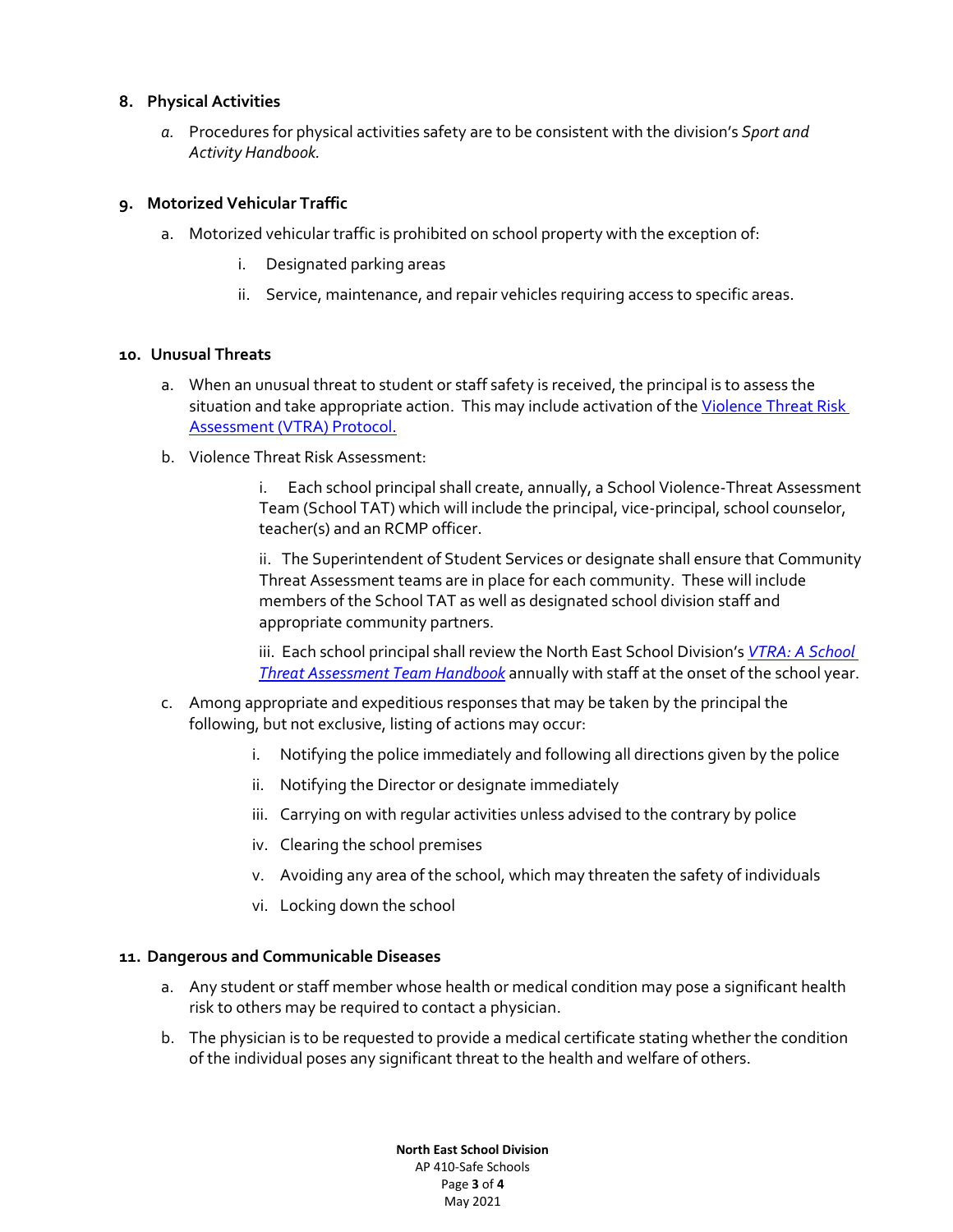#### **8. Physical Activities**

*a.* Procedures for physical activities safety are to be consistent with the division's *Sport and Activity Handbook.*

#### **9. Motorized Vehicular Traffic**

- a. Motorized vehicular traffic is prohibited on school property with the exception of:
	- i. Designated parking areas
	- ii. Service, maintenance, and repair vehicles requiring access to specific areas.

#### **10. Unusual Threats**

- a. When an unusual threat to student or staff safety is received, the principal is to assess the situation and take appropriate action. This may include activation of the Violence Threat Risk [Assessment \(VTRA\) Protocol.](https://nesdca.sharepoint.com/:b:/r/sites/NESDResources/NE/Safe%20%26%20Caring%20Schools/VTRA/C.%20Immediate%20Response%20Guide.pdf?csf=1&web=1&e=IyLotf)
- b. Violence Threat Risk Assessment:

i. Each school principal shall create, annually, a School Violence-Threat Assessment Team (School TAT) which will include the principal, vice-principal, school counselor, teacher(s) and an RCMP officer.

ii. The Superintendent of Student Services or designate shall ensure that Community Threat Assessment teams are in place for each community. These will include members of the School TAT as well as designated school division staff and appropriate community partners.

iii. Each school principal shall review the North East School Division's *[VTRA: A School](https://nesdca.sharepoint.com/:u:/r/sites/NESDResources/NE/Handbooks%20_Guidelines_Procedures/VTRATATHandbook_School_2020.url?csf=1&web=1&e=rkSh15)  [Threat Assessment Team Handbook](https://nesdca.sharepoint.com/:u:/r/sites/NESDResources/NE/Handbooks%20_Guidelines_Procedures/VTRATATHandbook_School_2020.url?csf=1&web=1&e=rkSh15)* annually with staff at the onset of the school year.

- c. Among appropriate and expeditious responses that may be taken by the principal the following, but not exclusive, listing of actions may occur:
	- i. Notifying the police immediately and following all directions given by the police
	- ii. Notifying the Director or designate immediately
	- iii. Carrying on with regular activities unless advised to the contrary by police
	- iv. Clearing the school premises
	- v. Avoiding any area of the school, which may threaten the safety of individuals
	- vi. Locking down the school

#### **11. Dangerous and Communicable Diseases**

- a. Any student or staff member whose health or medical condition may pose a significant health risk to others may be required to contact a physician.
- b. The physician is to be requested to provide a medical certificate stating whether the condition of the individual poses any significant threat to the health and welfare of others.

**North East School Division** AP 410-Safe Schools Page **3** of **4** May 2021